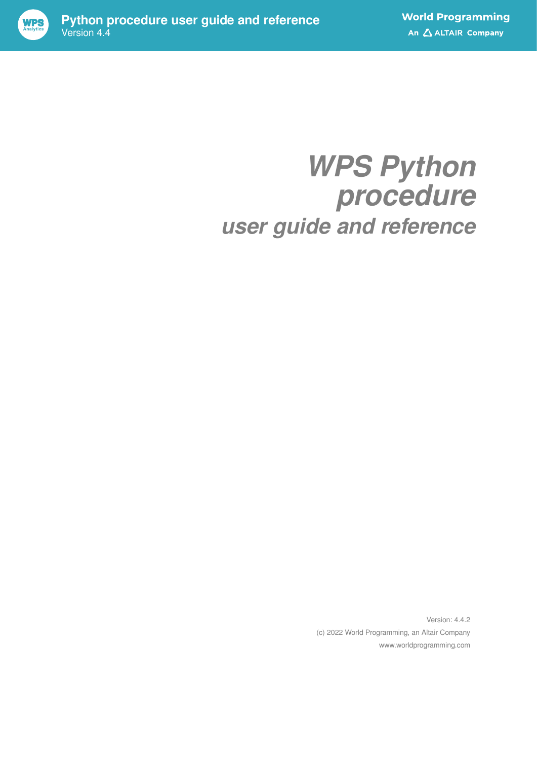

# *WPS Python procedure user guide and reference*

Version: 4.4.2 (c) 2022 World Programming, an Altair Company www.worldprogramming.com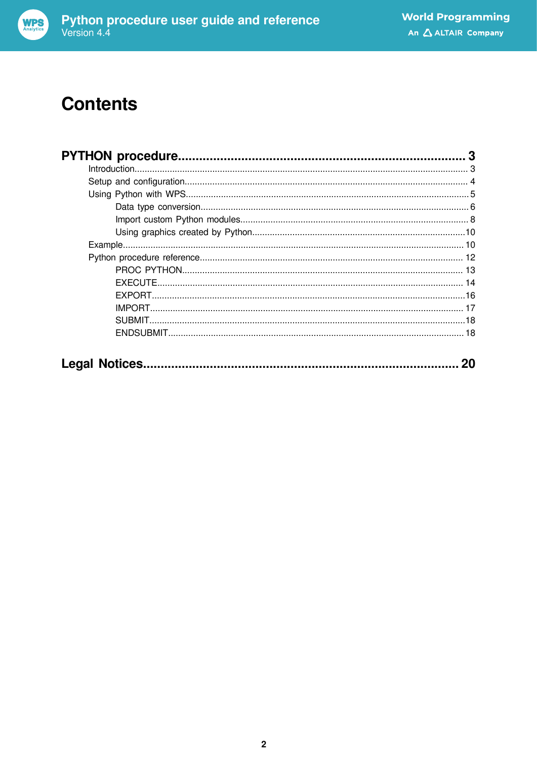

## **Contents**

| 20 |
|----|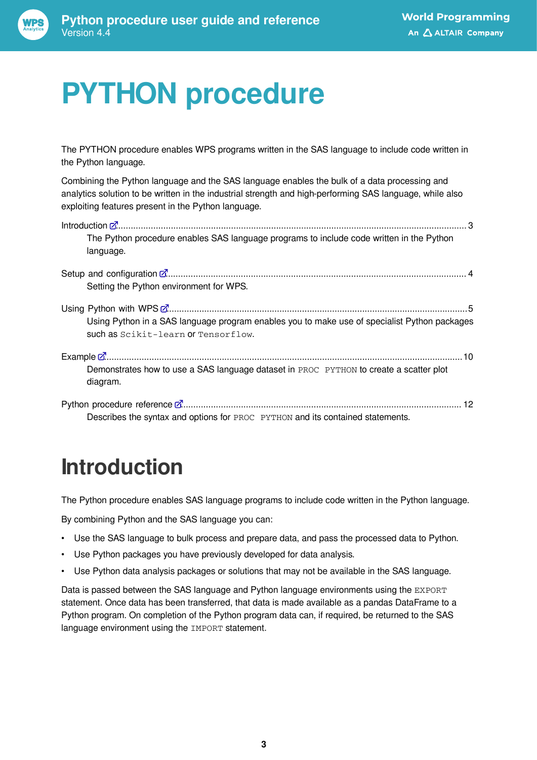

# <span id="page-2-0"></span>**PYTHON procedure**

The PYTHON procedure enables WPS programs written in the SAS language to include code written in the Python language.

Combining the Python language and the SAS language enables the bulk of a data processing and analytics solution to be written in the industrial strength and high-performing SAS language, while also exploiting features present in the Python language.

| The Python procedure enables SAS language programs to include code written in the Python<br>language.                               |
|-------------------------------------------------------------------------------------------------------------------------------------|
| Setting the Python environment for WPS.                                                                                             |
| Using Python in a SAS language program enables you to make use of specialist Python packages<br>such as Scikit-learn or Tensorflow. |
| Demonstrates how to use a SAS language dataset in PROC PYTHON to create a scatter plot<br>diagram.                                  |
| 12<br>Describes the syntax and options for PROC PYTHON and its contained statements.                                                |

## <span id="page-2-1"></span>**Introduction**

The Python procedure enables SAS language programs to include code written in the Python language.

By combining Python and the SAS language you can:

- Use the SAS language to bulk process and prepare data, and pass the processed data to Python.
- Use Python packages you have previously developed for data analysis.
- Use Python data analysis packages or solutions that may not be available in the SAS language.

Data is passed between the SAS language and Python language environments using the EXPORT statement. Once data has been transferred, that data is made available as a pandas DataFrame to a Python program. On completion of the Python program data can, if required, be returned to the SAS language environment using the **IMPORT** statement.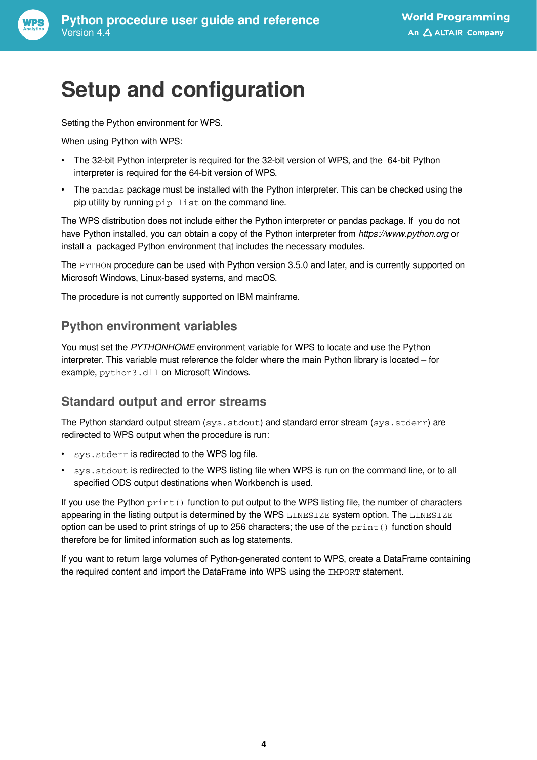

## <span id="page-3-0"></span>**Setup and configuration**

Setting the Python environment for WPS.

When using Python with WPS:

- The 32-bit Python interpreter is required for the 32-bit version of WPS, and the 64-bit Python interpreter is required for the 64-bit version of WPS.
- The pandas package must be installed with the Python interpreter. This can be checked using the pip utility by running pip list on the command line.

The WPS distribution does not include either the Python interpreter or pandas package. If you do not have Python installed, you can obtain a copy of the Python interpreter from *https://www.python.org* or install a packaged Python environment that includes the necessary modules.

The PYTHON procedure can be used with Python version 3.5.0 and later, and is currently supported on Microsoft Windows, Linux-based systems, and macOS.

The procedure is not currently supported on IBM mainframe.

#### **Python environment variables**

You must set the *PYTHONHOME* environment variable for WPS to locate and use the Python interpreter. This variable must reference the folder where the main Python library is located – for example, python3.dl1 on Microsoft Windows.

#### **Standard output and error streams**

The Python standard output stream  $(sys.setdout)$  and standard error stream  $(sys.setderr)$  are redirected to WPS output when the procedure is run:

- sys.stderr is redirected to the WPS log file.
- sys.stdout is redirected to the WPS listing file when WPS is run on the command line, or to all specified ODS output destinations when Workbench is used.

If you use the Python  $print()$  function to put output to the WPS listing file, the number of characters appearing in the listing output is determined by the WPS LINESIZE system option. The LINESIZE option can be used to print strings of up to 256 characters; the use of the  $print()$  function should therefore be for limited information such as log statements.

If you want to return large volumes of Python-generated content to WPS, create a DataFrame containing the required content and import the DataFrame into WPS using the IMPORT statement.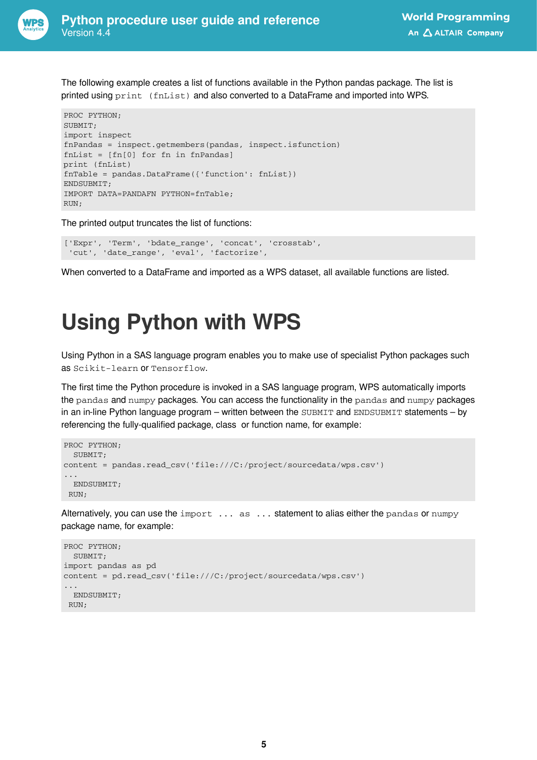

The following example creates a list of functions available in the Python pandas package. The list is printed using print (fnList) and also converted to a DataFrame and imported into WPS.

```
PROC PYTHON;
SUBMIT;
import inspect
fnPandas = inspect.getmembers(pandas, inspect.isfunction)
fnList = [fn[0] for fn in fnPandas]
print (fnList)
fnTable = pandas.DataFrame({'function': fnList})
ENDSUBMIT;
IMPORT DATA=PANDAFN PYTHON=fnTable;
RUN;
```
The printed output truncates the list of functions:

```
['Expr', 'Term', 'bdate_range', 'concat', 'crosstab',
 'cut', 'date_range', 'eval', 'factorize',
```
When converted to a DataFrame and imported as a WPS dataset, all available functions are listed.

## <span id="page-4-0"></span>**Using Python with WPS**

Using Python in a SAS language program enables you to make use of specialist Python packages such as Scikit-learn or Tensorflow.

The first time the Python procedure is invoked in a SAS language program, WPS automatically imports the pandas and numpy packages. You can access the functionality in the pandas and numpy packages in an in-line Python language program – written between the SUBMIT and ENDSUBMIT statements – by referencing the fully-qualified package, class or function name, for example:

```
PROC PYTHON;
  SUBMIT;
content = pandas.read_csv('file:///C:/project/sourcedata/wps.csv')
...
  ENDSUBMIT;
 RUN;
```
Alternatively, you can use the  $import \ldots$  as  $\ldots$  statement to alias either the pandas or numpy package name, for example:

```
PROC PYTHON;
 SUBMIT:
import pandas as pd
content = pd.read_csv('file:///C:/project/sourcedata/wps.csv')
...
  ENDSUBMIT;
 RUN;
```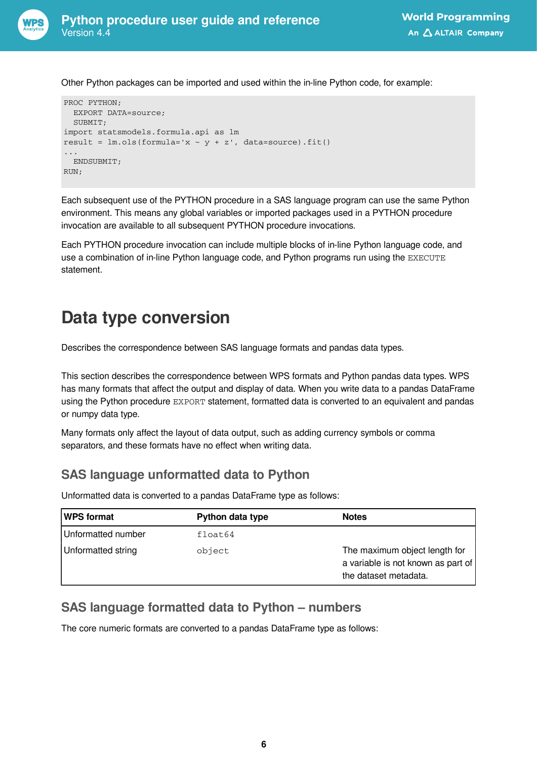

Other Python packages can be imported and used within the in-line Python code, for example:

```
PROC PYTHON;
  EXPORT DATA=source;
  SUBMIT;
import statsmodels.formula.api as lm
result = lm.ols(formula='x ~ y ~ + ~ z', data=source).fit()...
  ENDSUBMIT;
RUN;
```
Each subsequent use of the PYTHON procedure in a SAS language program can use the same Python environment. This means any global variables or imported packages used in a PYTHON procedure invocation are available to all subsequent PYTHON procedure invocations.

Each PYTHON procedure invocation can include multiple blocks of in-line Python language code, and use a combination of in-line Python language code, and Python programs run using the EXECUTE statement.

## <span id="page-5-0"></span>**Data type conversion**

Describes the correspondence between SAS language formats and pandas data types.

This section describes the correspondence between WPS formats and Python pandas data types. WPS has many formats that affect the output and display of data. When you write data to a pandas DataFrame using the Python procedure EXPORT statement, formatted data is converted to an equivalent and pandas or numpy data type.

Many formats only affect the layout of data output, such as adding currency symbols or comma separators, and these formats have no effect when writing data.

### **SAS language unformatted data to Python**

Unformatted data is converted to a pandas DataFrame type as follows:

| <b>WPS format</b>  | Python data type | <b>Notes</b>                                                                                 |
|--------------------|------------------|----------------------------------------------------------------------------------------------|
| Unformatted number | float64          |                                                                                              |
| Unformatted string | object           | The maximum object length for<br>a variable is not known as part of<br>the dataset metadata. |

#### **SAS language formatted data to Python – numbers**

The core numeric formats are converted to a pandas DataFrame type as follows: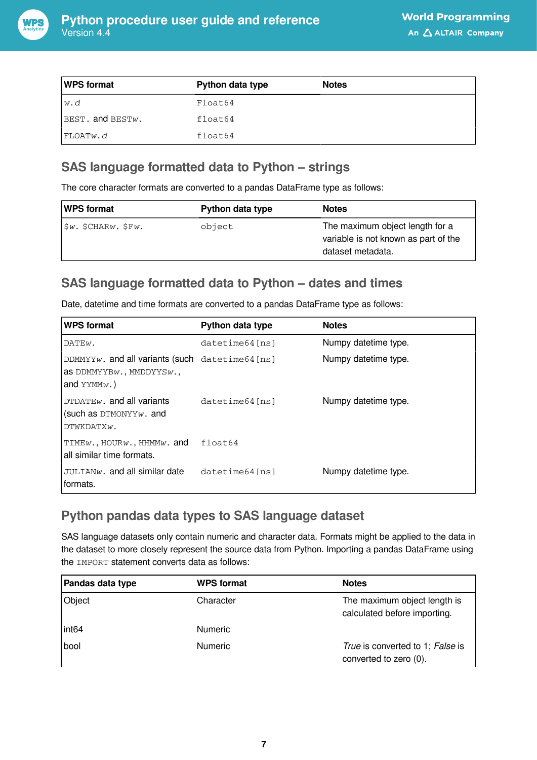

| WPS format           | Python data type | <b>Notes</b> |  |
|----------------------|------------------|--------------|--|
| lw.d                 | Float64          |              |  |
| $BEST.$ and $BESTw.$ | float64          |              |  |
| FLOATw. <i>d</i>     | float64          |              |  |

### **SAS language formatted data to Python – strings**

The core character formats are converted to a pandas DataFrame type as follows:

| <b>WPS format</b>            | Python data type | <b>Notes</b>                                                                                 |
|------------------------------|------------------|----------------------------------------------------------------------------------------------|
| $ \$ w. SCHAR $w$ . SF $w$ . | object           | The maximum object length for a<br>variable is not known as part of the<br>dataset metadata. |

### **SAS language formatted data to Python – dates and times**

Date, datetime and time formats are converted to a pandas DataFrame type as follows:

| WPS format                                                                                                           | Python data type  | <b>Notes</b>         |
|----------------------------------------------------------------------------------------------------------------------|-------------------|----------------------|
| DATEw.                                                                                                               | datetime64 [ns]   | Numpy datetime type. |
| $ $ DDMMYY $w$ . and all variants (such datetime64[ns]<br>$ $ as DDMMYYB $w$ ., MMDDYYS $w$ .,<br>$ $ and $YYMMW.$ ) |                   | Numpy datetime type. |
| $1$ DTDATE $w$ . and all variants<br>$\vert$ (such as DTMONYYw. and<br>DTWKDATXW.                                    | $datetime64$ [ns] | Numpy datetime type. |
| $\texttt{TIME}_{W}$ , HOUR $w$ , HHMM $w$ . and<br>l all similar time formats.                                       | float64           |                      |
| $JULIANw$ . and all similar date<br>l formats.                                                                       | $datetime64$ [ns] | Numpy datetime type. |

### **Python pandas data types to SAS language dataset**

SAS language datasets only contain numeric and character data. Formats might be applied to the data in the dataset to more closely represent the source data from Python. Importing a pandas DataFrame using the IMPORT statement converts data as follows:

| Pandas data type  | <b>WPS format</b> | <b>Notes</b>                                                 |
|-------------------|-------------------|--------------------------------------------------------------|
| Object            | Character         | The maximum object length is<br>calculated before importing. |
| int <sub>64</sub> | <b>Numeric</b>    |                                                              |
| <b>bool</b>       | <b>Numeric</b>    | True is converted to 1; False is<br>converted to zero (0).   |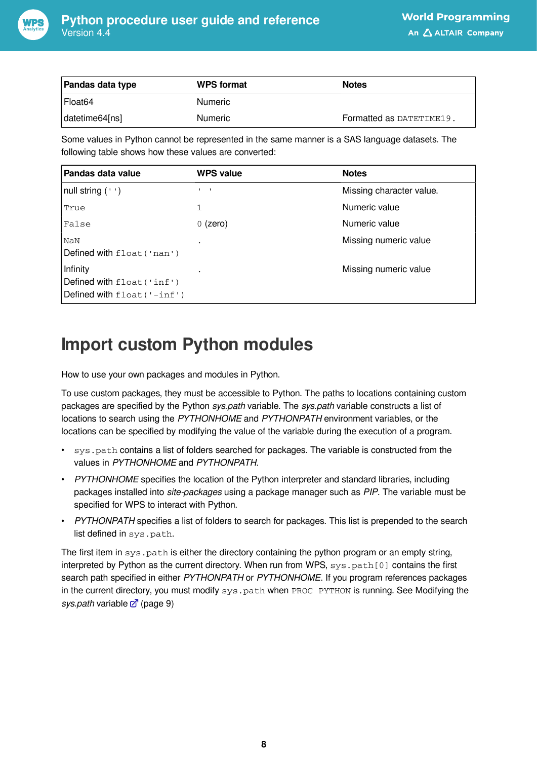

| Pandas data type | <b>WPS format</b> | <b>Notes</b>             |
|------------------|-------------------|--------------------------|
| Float64          | <b>Numeric</b>    |                          |
| datetime64[ns]   | <b>Numeric</b>    | Formatted as DATETIME19. |

Some values in Python cannot be represented in the same manner is a SAS language datasets. The following table shows how these values are converted:

| Pandas data value                                                     | <b>WPS value</b> | <b>Notes</b>             |
|-----------------------------------------------------------------------|------------------|--------------------------|
| $ null$ string $(''')$                                                |                  | Missing character value. |
| True                                                                  |                  | Numeric value            |
| False                                                                 | $0$ (zero)       | Numeric value            |
| <b>NaN</b><br>Defined with float ('nan')                              |                  | Missing numeric value    |
| Infinity<br>Defined with float ('inf')<br>Defined with float ('-inf') |                  | Missing numeric value    |

## <span id="page-7-0"></span>**Import custom Python modules**

How to use your own packages and modules in Python.

To use custom packages, they must be accessible to Python. The paths to locations containing custom packages are specified by the Python *sys.path* variable. The *sys.path* variable constructs a list of locations to search using the *PYTHONHOME* and *PYTHONPATH* environment variables, or the locations can be specified by modifying the value of the variable during the execution of a program.

- sys.path contains a list of folders searched for packages. The variable is constructed from the values in *PYTHONHOME* and *PYTHONPATH*.
- *PYTHONHOME* specifies the location of the Python interpreter and standard libraries, including packages installed into *site-packages* using a package manager such as *PIP*. The variable must be specified for WPS to interact with Python.
- *PYTHONPATH* specifies a list of folders to search for packages. This list is prepended to the search list defined in sys.path.

The first item in  $sys.path$  is either the directory containing the python program or an empty string, interpreted by Python as the current directory. When run from WPS, sys.path[0] contains the first search path specified in either *PYTHONPATH* or *PYTHONHOME*. If you program references packages in the current directory, you must modify sys.path when PROC PYTHON is running. See Modifying the *sys.path* variable  $\mathbb{Z}^n$  (page 9)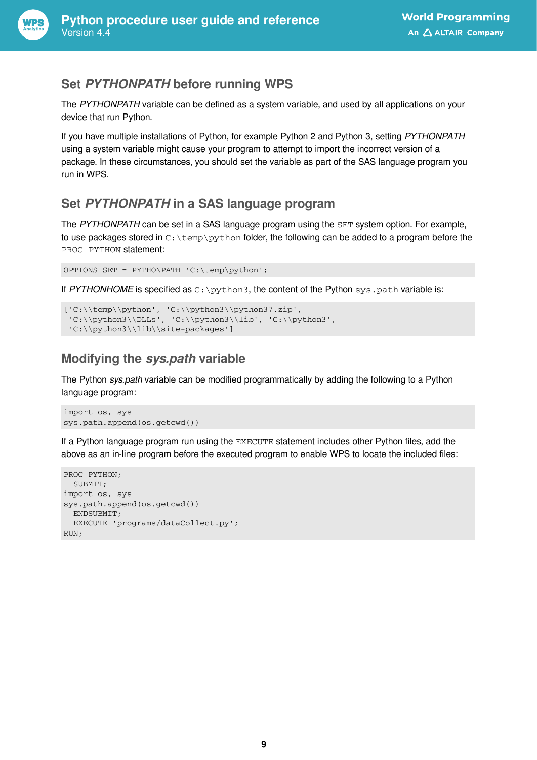

### **Set** *PYTHONPATH* **before running WPS**

The *PYTHONPATH* variable can be defined as a system variable, and used by all applications on your device that run Python.

If you have multiple installations of Python, for example Python 2 and Python 3, setting *PYTHONPATH* using a system variable might cause your program to attempt to import the incorrect version of a package. In these circumstances, you should set the variable as part of the SAS language program you run in WPS.

### **Set** *PYTHONPATH* **in a SAS language program**

The *PYTHONPATH* can be set in a SAS language program using the SET system option. For example, to use packages stored in  $C:\temp\python$  folder, the following can be added to a program before the PROC PYTHON statement:

```
OPTIONS SET = PYTHONPATH 'C:\temp\python';
```
If *PYTHONHOME* is specified as C: \python3, the content of the Python sys.path variable is:

```
['C:\\\temp\\python', 'C:\\python3\\python37.zip','C:\\python3\LLs', 'C:\\python3\llib', 'C:\\python3', 'C:\\python3\\lib\\site-packages']
```
### **Modifying the** *sys.path* **variable**

The Python *sys.path* variable can be modified programmatically by adding the following to a Python language program:

```
import os, sys
sys.path.append(os.getcwd())
```
If a Python language program run using the EXECUTE statement includes other Python files, add the above as an in-line program before the executed program to enable WPS to locate the included files:

```
PROC PYTHON;
  SUBMIT;
import os, sys
sys.path.append(os.getcwd())
  ENDSUBMIT;
   EXECUTE 'programs/dataCollect.py';
RIJN:
```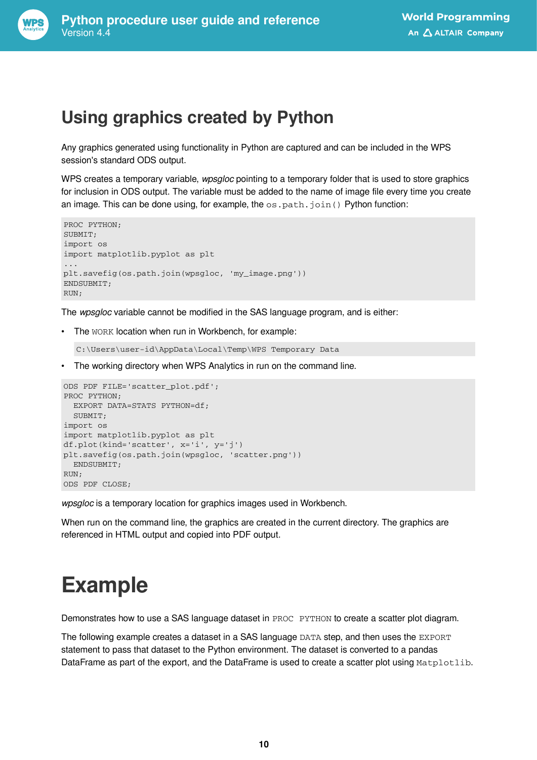

### <span id="page-9-0"></span>**Using graphics created by Python**

Any graphics generated using functionality in Python are captured and can be included in the WPS session's standard ODS output.

WPS creates a temporary variable, *wpsgloc* pointing to a temporary folder that is used to store graphics for inclusion in ODS output. The variable must be added to the name of image file every time you create an image. This can be done using, for example, the  $\cos$ ,  $path$ ,  $join()$  Python function:

```
PROC PYTHON;
SUBMIT;
import os
import matplotlib.pyplot as plt
...
plt.savefig(os.path.join(wpsgloc, 'my_image.png'))
ENDSUBMIT;
RUN;
```
The *wpsgloc* variable cannot be modified in the SAS language program, and is either:

• The WORK location when run in Workbench, for example:

C:\Users\user-id\AppData\Local\Temp\WPS Temporary Data

• The working directory when WPS Analytics in run on the command line.

```
ODS PDF FILE='scatter_plot.pdf';
PROC PYTHON;
  EXPORT DATA=STATS PYTHON=df;
   SUBMIT;
import os
import matplotlib.pyplot as plt
df.plot(kind='scatter', x='i', y='j')
plt.savefig(os.path.join(wpsgloc, 'scatter.png'))
  ENDSUBMIT;
RUN;
ODS PDF CLOSE;
```
*wpsgloc* is a temporary location for graphics images used in Workbench.

When run on the command line, the graphics are created in the current directory. The graphics are referenced in HTML output and copied into PDF output.

## <span id="page-9-1"></span>**Example**

Demonstrates how to use a SAS language dataset in PROC PYTHON to create a scatter plot diagram.

The following example creates a dataset in a SAS language DATA step, and then uses the EXPORT statement to pass that dataset to the Python environment. The dataset is converted to a pandas DataFrame as part of the export, and the DataFrame is used to create a scatter plot using Matplotlib.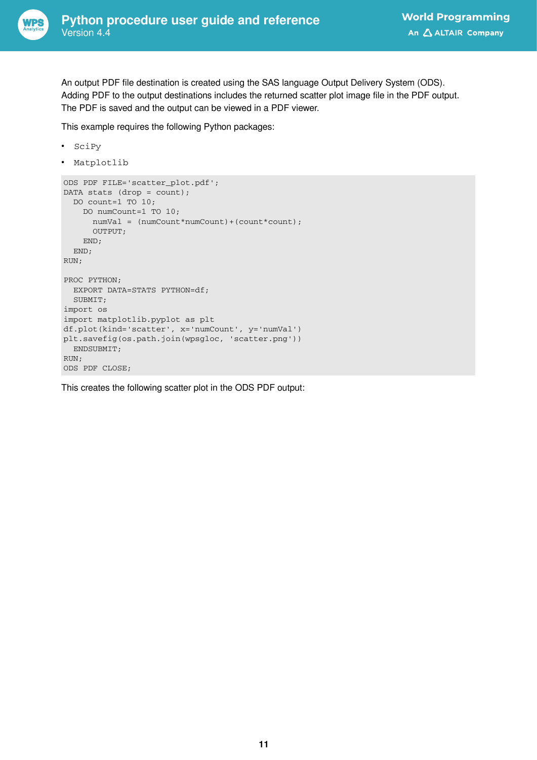

An output PDF file destination is created using the SAS language Output Delivery System (ODS). Adding PDF to the output destinations includes the returned scatter plot image file in the PDF output. The PDF is saved and the output can be viewed in a PDF viewer.

This example requires the following Python packages:

```
• SciPy
```
• Matplotlib

```
ODS PDF FILE='scatter_plot.pdf';
DATA stats (drop = count);
   DO count=1 TO 10;
    DO numCount=1 TO 10;
     numVal = (numCount*numCount)+(count*count);
      OUTPUT;
    END;
   END;
RUN;
PROC PYTHON;
  EXPORT DATA=STATS PYTHON=df;
  SUBMIT;
import os
import matplotlib.pyplot as plt
df.plot(kind='scatter', x='numCount', y='numVal')
plt.savefig(os.path.join(wpsgloc, 'scatter.png'))
   ENDSUBMIT;
RUN;
ODS PDF CLOSE;
```
This creates the following scatter plot in the ODS PDF output: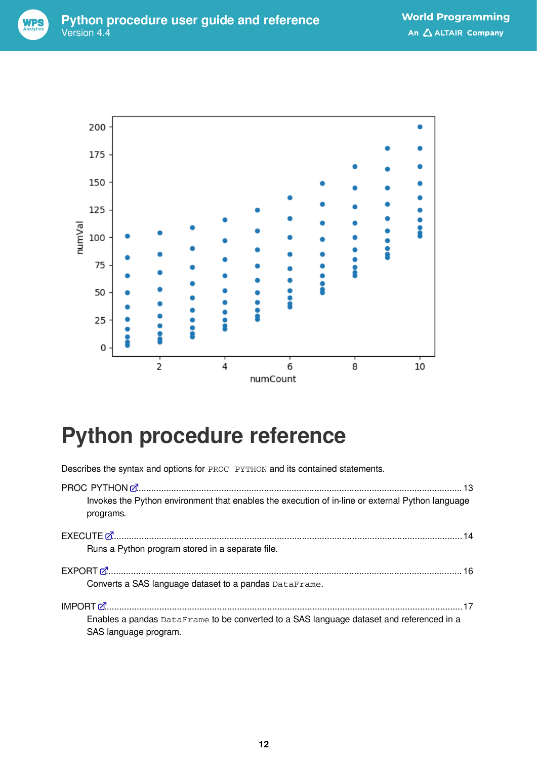



## <span id="page-11-0"></span>**Python procedure reference**

Describes the syntax and options for PROC PYTHON and its contained statements.

| Invokes the Python environment that enables the execution of in-line or external Python language<br>programs. |
|---------------------------------------------------------------------------------------------------------------|
|                                                                                                               |
| Runs a Python program stored in a separate file.                                                              |
|                                                                                                               |
| Converts a SAS language dataset to a pandas DataFrame.                                                        |
|                                                                                                               |
| Enables a pandas DataFrame to be converted to a SAS language dataset and referenced in a                      |
| SAS language program.                                                                                         |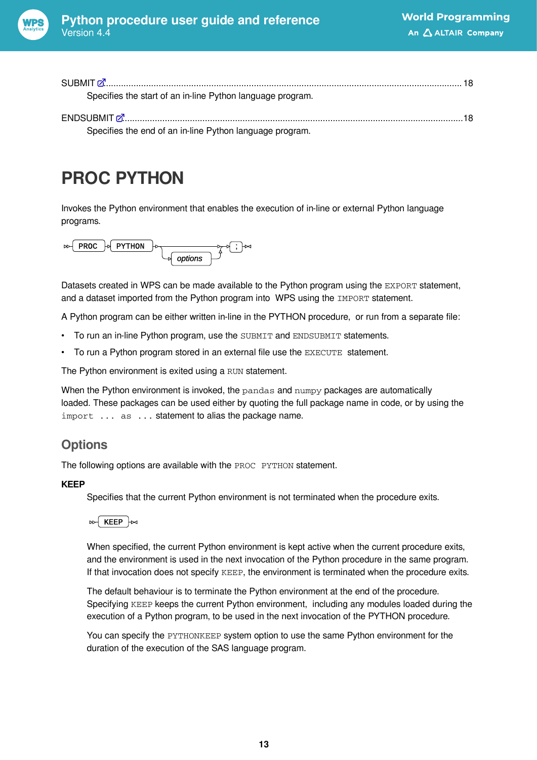

| SUBMIT Z 3. 2008. The SUBMIT Z 3. 2008. The SUBMIT Z 3. 2008. The SUBMIT Z 3. 2008. The SUBMIT Z 3. 2008. The SUBMIT Z 3. 2008. The SUBMIT Z 3. 2008. The SUBMIT Z 3. 2008. The SUBMIT Z 3. 2008. The SUBMIT Z 3. 2008. The SU |  |
|--------------------------------------------------------------------------------------------------------------------------------------------------------------------------------------------------------------------------------|--|
| Specifies the start of an in-line Python language program.                                                                                                                                                                     |  |
|                                                                                                                                                                                                                                |  |
| Specifies the end of an in-line Python language program.                                                                                                                                                                       |  |

## <span id="page-12-0"></span>**PROC PYTHON**

Invokes the Python environment that enables the execution of in-line or external Python language programs.



Datasets created in WPS can be made available to the Python program using the EXPORT statement, and a dataset imported from the Python program into WPS using the IMPORT statement.

A Python program can be either written in-line in the PYTHON procedure, or run from a separate file:

- To run an in-line Python program, use the SUBMIT and ENDSUBMIT statements.
- To run a Python program stored in an external file use the EXECUTE statement.

The Python environment is exited using a RUN statement.

When the Python environment is invoked, the pandas and numpy packages are automatically loaded. These packages can be used either by quoting the full package name in code, or by using the import ... as ... statement to alias the package name.

#### **Options**

The following options are available with the PROC PYTHON statement.

#### **KEEP**

Specifies that the current Python environment is not terminated when the procedure exits.



When specified, the current Python environment is kept active when the current procedure exits, and the environment is used in the next invocation of the Python procedure in the same program. If that invocation does not specify KEEP, the environment is terminated when the procedure exits.

The default behaviour is to terminate the Python environment at the end of the procedure. Specifying KEEP keeps the current Python environment, including any modules loaded during the execution of a Python program, to be used in the next invocation of the PYTHON procedure.

You can specify the PYTHONKEEP system option to use the same Python environment for the duration of the execution of the SAS language program.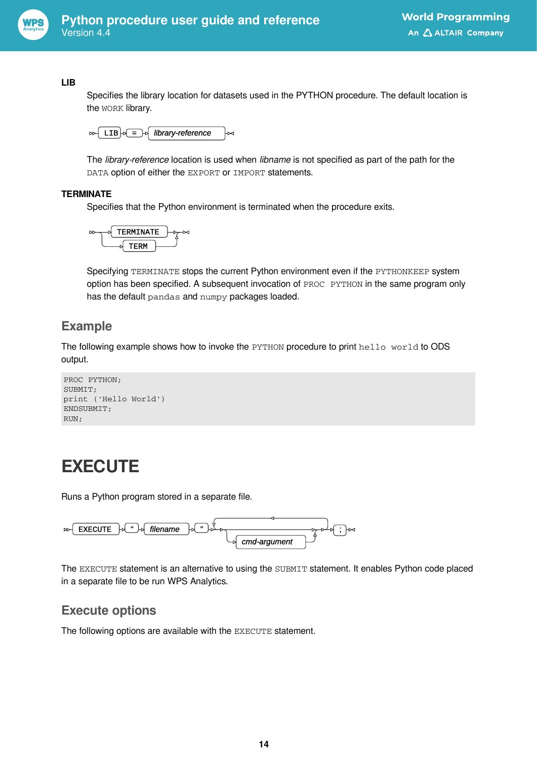

#### **LIB**

Specifies the library location for datasets used in the PYTHON procedure. The default location is the WORK library.



The *library-reference* location is used when *libname* is not specified as part of the path for the DATA option of either the EXPORT or IMPORT statements.

#### **TERMINATE**

Specifies that the Python environment is terminated when the procedure exits.



Specifying TERMINATE stops the current Python environment even if the PYTHONKEEP system option has been specified. A subsequent invocation of PROC PYTHON in the same program only has the default pandas and numpy packages loaded.

### **Example**

The following example shows how to invoke the PYTHON procedure to print hello world to ODS output.

```
PROC PYTHON;
SUBMIT;
print ('Hello World')
ENDSUBMIT;
RUN;
```
## <span id="page-13-0"></span>**EXECUTE**

Runs a Python program stored in a separate file.



The EXECUTE statement is an alternative to using the SUBMIT statement. It enables Python code placed in a separate file to be run WPS Analytics.

#### **Execute options**

The following options are available with the EXECUTE statement.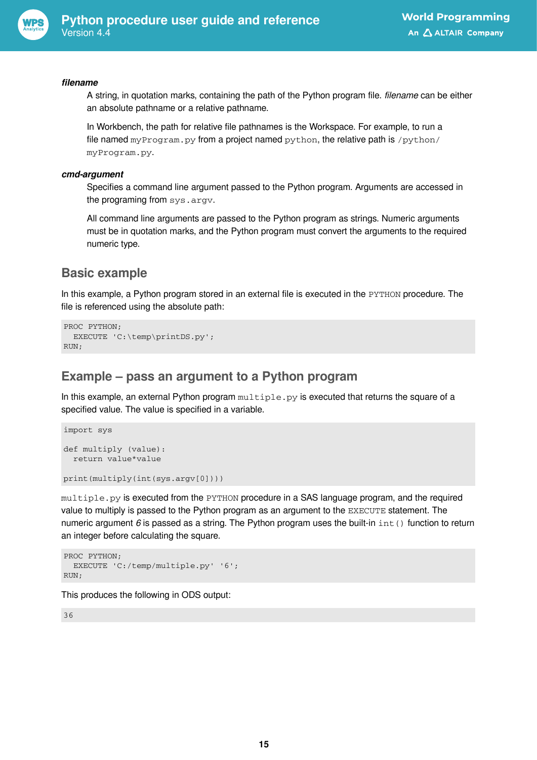

#### *filename*

A string, in quotation marks, containing the path of the Python program file. *filename* can be either an absolute pathname or a relative pathname.

In Workbench, the path for relative file pathnames is the Workspace. For example, to run a file named myProgram.py from a project named python, the relative path is /python/ myProgram.py.

#### *cmd-argument*

Specifies a command line argument passed to the Python program. Arguments are accessed in the programing from sys.argv.

All command line arguments are passed to the Python program as strings. Numeric arguments must be in quotation marks, and the Python program must convert the arguments to the required numeric type.

### **Basic example**

In this example, a Python program stored in an external file is executed in the PYTHON procedure. The file is referenced using the absolute path:

```
PROC PYTHON;
   EXECUTE 'C:\temp\printDS.py';
RUN;
```
#### **Example – pass an argument to a Python program**

In this example, an external Python program  $\text{multiple.py}$  is executed that returns the square of a specified value. The value is specified in a variable.

```
import sys
def multiply (value):
   return value*value
```
print(multiply(int(sys.argv[0])))

multiple.py is executed from the PYTHON procedure in a SAS language program, and the required value to multiply is passed to the Python program as an argument to the EXECUTE statement. The numeric argument 6 is passed as a string. The Python program uses the built-in int() function to return an integer before calculating the square.

```
PROC PYTHON;
   EXECUTE 'C:/temp/multiple.py' '6';
RUN;
```
This produces the following in ODS output:

36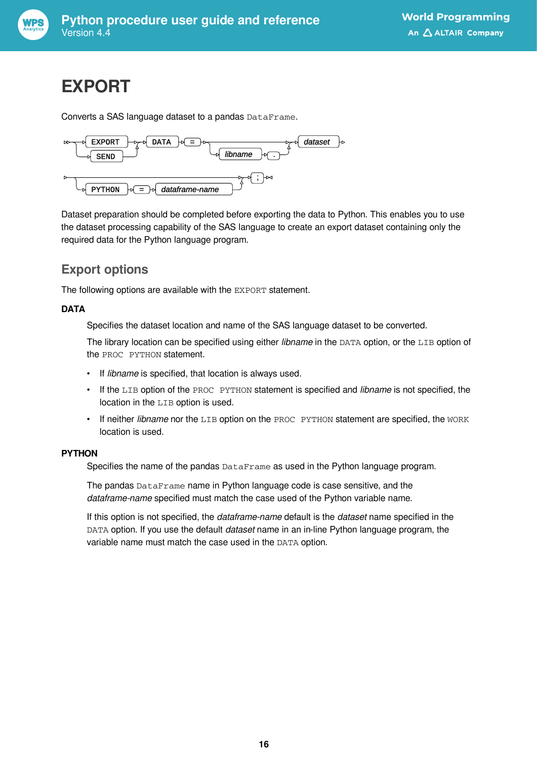

## <span id="page-15-0"></span>**EXPORT**

Converts a SAS language dataset to a pandas DataFrame.



Dataset preparation should be completed before exporting the data to Python. This enables you to use the dataset processing capability of the SAS language to create an export dataset containing only the required data for the Python language program.

### **Export options**

The following options are available with the EXPORT statement.

#### **DATA**

Specifies the dataset location and name of the SAS language dataset to be converted.

The library location can be specified using either *libname* in the DATA option, or the LIB option of the PROC PYTHON statement.

- If *libname* is specified, that location is always used.
- If the LIB option of the PROC PYTHON statement is specified and *libname* is not specified, the location in the LIB option is used.
- If neither *libname* nor the LIB option on the PROC PYTHON statement are specified, the WORK location is used.

#### **PYTHON**

Specifies the name of the pandas DataFrame as used in the Python language program.

The pandas DataFrame name in Python language code is case sensitive, and the *dataframe-name* specified must match the case used of the Python variable name.

If this option is not specified, the *dataframe-name* default is the *dataset* name specified in the DATA option. If you use the default *dataset* name in an in-line Python language program, the variable name must match the case used in the DATA option.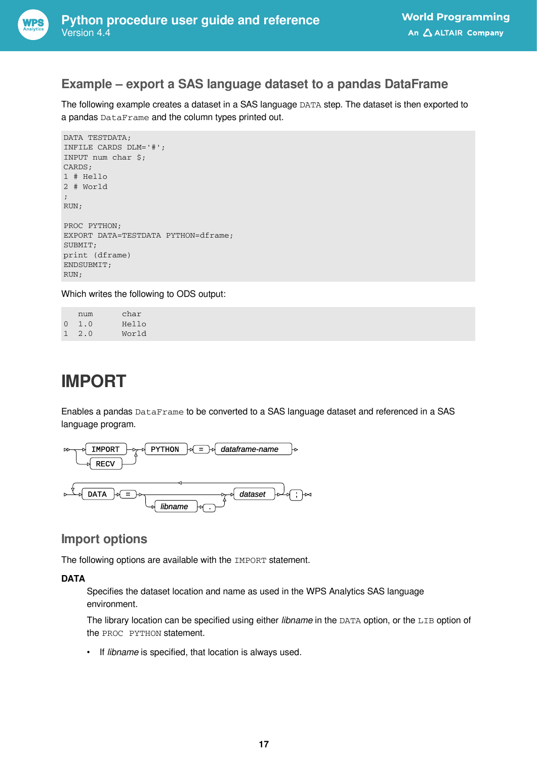

#### **Example – export a SAS language dataset to a pandas DataFrame**

The following example creates a dataset in a SAS language DATA step. The dataset is then exported to a pandas DataFrame and the column types printed out.

```
DATA TESTDATA;
INFILE CARDS DLM='#';
INPUT num char $;
CARDS;
1 # Hello
2 # World
;
RUN;
PROC PYTHON;
EXPORT DATA=TESTDATA PYTHON=dframe;
SUBMIT;
print (dframe)
ENDSUBMIT;
RUN;
```
Which writes the following to ODS output:

|          | num           | char  |
|----------|---------------|-------|
| $\Omega$ | $\perp$ .0    | Hello |
|          | $1 \quad 2.0$ | World |

## <span id="page-16-0"></span>**IMPORT**

Enables a pandas DataFrame to be converted to a SAS language dataset and referenced in a SAS language program.



#### **Import options**

The following options are available with the IMPORT statement.

#### **DATA**

Specifies the dataset location and name as used in the WPS Analytics SAS language environment.

The library location can be specified using either *libname* in the DATA option, or the LIB option of the PROC PYTHON statement.

• If *libname* is specified, that location is always used.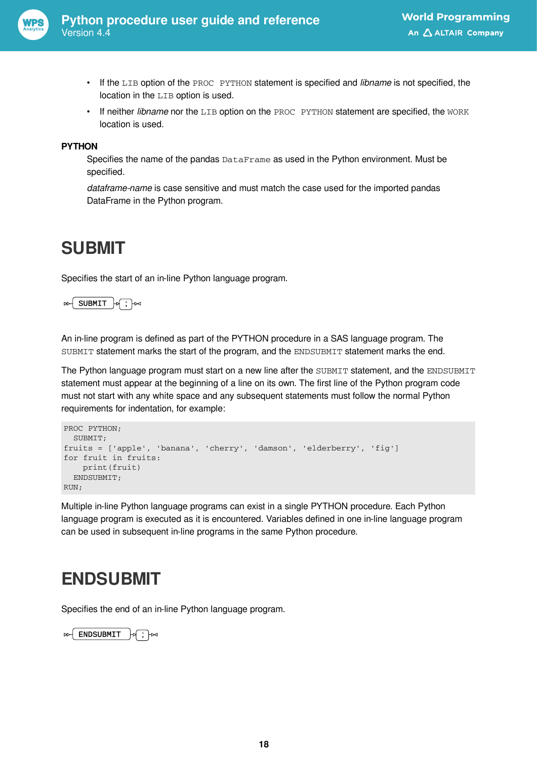

- If the LIB option of the PROC PYTHON statement is specified and *libname* is not specified, the location in the LIB option is used.
- If neither *libname* nor the LIB option on the PROC PYTHON statement are specified, the WORK location is used.

#### **PYTHON**

Specifies the name of the pandas DataFrame as used in the Python environment. Must be specified.

*dataframe-name* is case sensitive and must match the case used for the imported pandas DataFrame in the Python program.

### <span id="page-17-0"></span>**SUBMIT**

Specifies the start of an in-line Python language program.

#### SUBMIT  $\forall$  ;  $\forall$

An in-line program is defined as part of the PYTHON procedure in a SAS language program. The SUBMIT statement marks the start of the program, and the ENDSUBMIT statement marks the end.

The Python language program must start on a new line after the SUBMIT statement, and the ENDSUBMIT statement must appear at the beginning of a line on its own. The first line of the Python program code must not start with any white space and any subsequent statements must follow the normal Python requirements for indentation, for example:

```
PROC PYTHON;
   SUBMIT;
fruits = ['apple', 'banana', 'cherry', 'damson', 'elderberry', 'fig']
for fruit in fruits:
    print(fruit)
   ENDSUBMIT;
RUN;
```
Multiple in-line Python language programs can exist in a single PYTHON procedure. Each Python language program is executed as it is encountered. Variables defined in one in-line language program can be used in subsequent in-line programs in the same Python procedure.

### <span id="page-17-1"></span>**ENDSUBMIT**

Specifies the end of an in-line Python language program.

ENDSUBMIT  $\big|\n\phi\big|$   $\mapsto$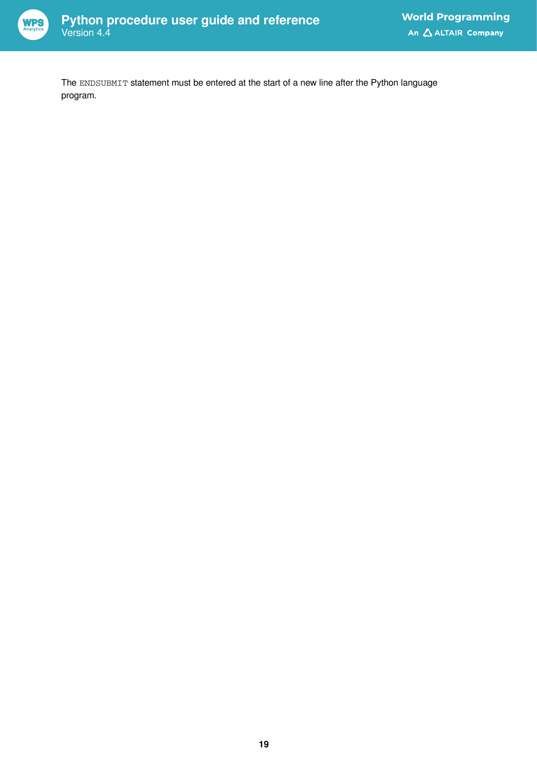

The ENDSUBMIT statement must be entered at the start of a new line after the Python language program.